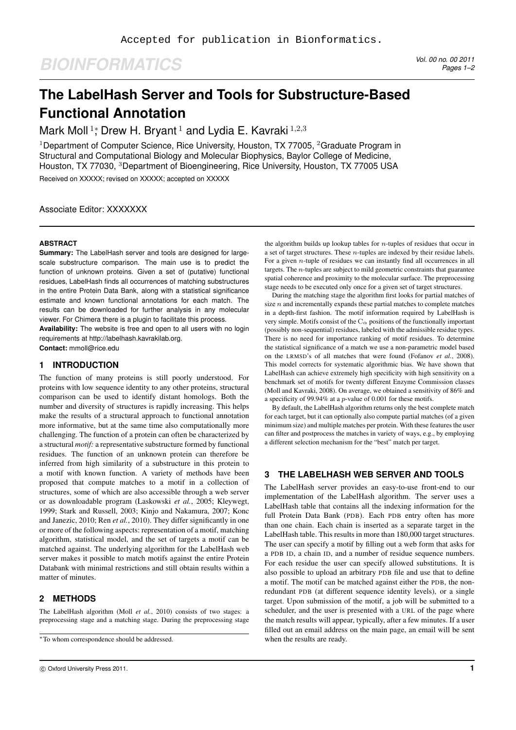# *BIOINFORMATICS Vol. 00 no. 00 2011*

*Pages 1–2*

# **The LabelHash Server and Tools for Substructure-Based Functional Annotation**

Mark Moll<sup>1</sup>; Drew H. Bryant<sup>1</sup> and Lydia E. Kavraki<sup>1,2,3</sup>

<sup>1</sup>Department of Computer Science, Rice University, Houston, TX 77005, <sup>2</sup>Graduate Program in Structural and Computational Biology and Molecular Biophysics, Baylor College of Medicine, Houston, TX 77030, <sup>3</sup>Department of Bioengineering, Rice University, Houston, TX 77005 USA Received on XXXXX; revised on XXXXX; accepted on XXXXX

Associate Editor: XXXXXXX

#### **ABSTRACT**

**Summary:** The LabelHash server and tools are designed for largescale substructure comparison. The main use is to predict the function of unknown proteins. Given a set of (putative) functional residues, LabelHash finds all occurrences of matching substructures in the entire Protein Data Bank, along with a statistical significance estimate and known functional annotations for each match. The results can be downloaded for further analysis in any molecular viewer. For Chimera there is a plugin to facilitate this process.

**Availability:** The website is free and open to all users with no login requirements at http://labelhash.kavrakilab.org.

**Contact:** mmoll@rice.edu

### **1 INTRODUCTION**

The function of many proteins is still poorly understood. For proteins with low sequence identity to any other proteins, structural comparison can be used to identify distant homologs. Both the number and diversity of structures is rapidly increasing. This helps make the results of a structural approach to functional annotation more informative, but at the same time also computationally more challenging. The function of a protein can often be characterized by a structural *motif:* a representative substructure formed by functional residues. The function of an unknown protein can therefore be inferred from high similarity of a substructure in this protein to a motif with known function. A variety of methods have been proposed that compute matches to a motif in a collection of structures, some of which are also accessible through a web server or as downloadable program (Laskowski *et al.*, 2005; Kleywegt, 1999; Stark and Russell, 2003; Kinjo and Nakamura, 2007; Konc and Janezic, 2010; Ren *et al.*, 2010). They differ significantly in one or more of the following aspects: representation of a motif, matching algorithm, statistical model, and the set of targets a motif can be matched against. The underlying algorithm for the LabelHash web server makes it possible to match motifs against the entire Protein Databank with minimal restrictions and still obtain results within a matter of minutes.

#### **2 METHODS**

The LabelHash algorithm (Moll *et al.*, 2010) consists of two stages: a preprocessing stage and a matching stage. During the preprocessing stage the algorithm builds up lookup tables for  $n$ -tuples of residues that occur in a set of target structures. These n-tuples are indexed by their residue labels. For a given *n*-tuple of residues we can instantly find all occurrences in all targets. The n-tuples are subject to mild geometric constraints that guarantee spatial coherence and proximity to the molecular surface. The preprocessing stage needs to be executed only once for a given set of target structures.

During the matching stage the algorithm first looks for partial matches of size  $n$  and incrementally expands these partial matches to complete matches in a depth-first fashion. The motif information required by LabelHash is very simple. Motifs consist of the  $C_{\alpha}$  positions of the functionally important (possibly non-sequential) residues, labeled with the admissible residue types. There is no need for importance ranking of motif residues. To determine the statistical significance of a match we use a non-parametric model based on the LRMSD's of all matches that were found (Fofanov *et al.*, 2008). This model corrects for systematic algorithmic bias. We have shown that LabelHash can achieve extremely high specificity with high sensitivity on a benchmark set of motifs for twenty different Enzyme Commission classes (Moll and Kavraki, 2008). On average, we obtained a sensitivity of 86% and a specificity of 99.94% at a p-value of 0.001 for these motifs.

By default, the LabelHash algorithm returns only the best complete match for each target, but it can optionally also compute partial matches (of a given minimum size) and multiple matches per protein. With these features the user can filter and postprocess the matches in variety of ways, e.g., by employing a different selection mechanism for the "best" match per target.

## **3 THE LABELHASH WEB SERVER AND TOOLS**

The LabelHash server provides an easy-to-use front-end to our implementation of the LabelHash algorithm. The server uses a LabelHash table that contains all the indexing information for the full Protein Data Bank (PDB). Each PDB entry often has more than one chain. Each chain is inserted as a separate target in the LabelHash table. This results in more than 180,000 target structures. The user can specify a motif by filling out a web form that asks for a PDB ID, a chain ID, and a number of residue sequence numbers. For each residue the user can specify allowed substitutions. It is also possible to upload an arbitrary PDB file and use that to define a motif. The motif can be matched against either the PDB, the nonredundant PDB (at different sequence identity levels), or a single target. Upon submission of the motif, a job will be submitted to a scheduler, and the user is presented with a URL of the page where the match results will appear, typically, after a few minutes. If a user filled out an email address on the main page, an email will be sent when the results are ready.

<sup>∗</sup>To whom correspondence should be addressed.